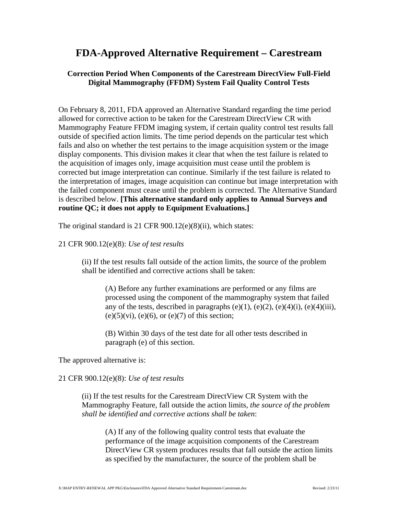## **FDA-Approved Alternative Requirement – Carestream**

## **Correction Period When Components of the Carestream DirectView Full-Field Digital Mammography (FFDM) System Fail Quality Control Tests**

On February 8, 2011, FDA approved an Alternative Standard regarding the time period allowed for corrective action to be taken for the Carestream DirectView CR with Mammography Feature FFDM imaging system, if certain quality control test results fall outside of specified action limits. The time period depends on the particular test which fails and also on whether the test pertains to the image acquisition system or the image display components. This division makes it clear that when the test failure is related to the acquisition of images only, image acquisition must cease until the problem is corrected but image interpretation can continue. Similarly if the test failure is related to the interpretation of images, image acquisition can continue but image interpretation with the failed component must cease until the problem is corrected. The Alternative Standard is described below. **[This alternative standard only applies to Annual Surveys and routine QC; it does not apply to Equipment Evaluations.]** 

The original standard is 21 CFR 900.12(e)(8)(ii), which states:

## 21 CFR 900.12(e)(8): *Use of test results*

(ii) If the test results fall outside of the action limits, the source of the problem shall be identified and corrective actions shall be taken:

(A) Before any further examinations are performed or any films are processed using the component of the mammography system that failed any of the tests, described in paragraphs  $(e)(1)$ ,  $(e)(2)$ ,  $(e)(4)(i)$ ,  $(e)(4)(iii)$ ,  $(e)(5)(vi)$ ,  $(e)(6)$ , or  $(e)(7)$  of this section;

(B) Within 30 days of the test date for all other tests described in paragraph (e) of this section.

The approved alternative is:

## 21 CFR 900.12(e)(8): *Use of test results*

(ii) If the test results for the Carestream DirectView CR System with the Mammography Feature, fall outside the action limits, *the source of the problem shall be identified and corrective actions shall be taken*:

(A) If any of the following quality control tests that evaluate the performance of the image acquisition components of the Carestream DirectView CR system produces results that fall outside the action limits as specified by the manufacturer, the source of the problem shall be